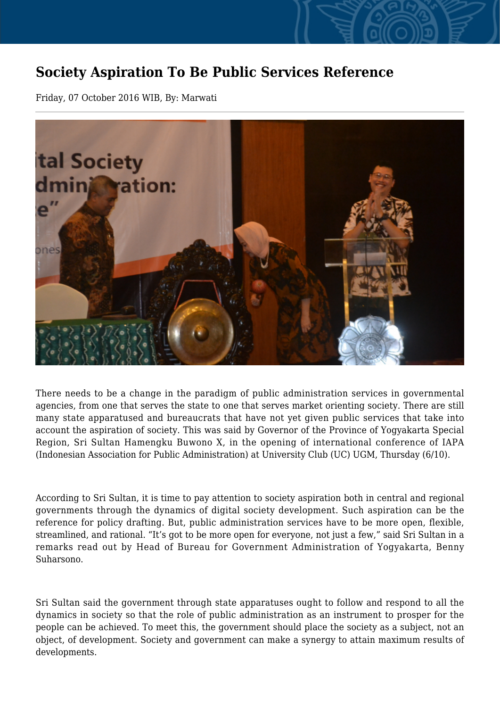## **Society Aspiration To Be Public Services Reference**

Friday, 07 October 2016 WIB, By: Marwati



There needs to be a change in the paradigm of public administration services in governmental agencies, from one that serves the state to one that serves market orienting society. There are still many state apparatused and bureaucrats that have not yet given public services that take into account the aspiration of society. This was said by Governor of the Province of Yogyakarta Special Region, Sri Sultan Hamengku Buwono X, in the opening of international conference of IAPA (Indonesian Association for Public Administration) at University Club (UC) UGM, Thursday (6/10).

According to Sri Sultan, it is time to pay attention to society aspiration both in central and regional governments through the dynamics of digital society development. Such aspiration can be the reference for policy drafting. But, public administration services have to be more open, flexible, streamlined, and rational. "It's got to be more open for everyone, not just a few," said Sri Sultan in a remarks read out by Head of Bureau for Government Administration of Yogyakarta, Benny Suharsono.

Sri Sultan said the government through state apparatuses ought to follow and respond to all the dynamics in society so that the role of public administration as an instrument to prosper for the people can be achieved. To meet this, the government should place the society as a subject, not an object, of development. Society and government can make a synergy to attain maximum results of developments.